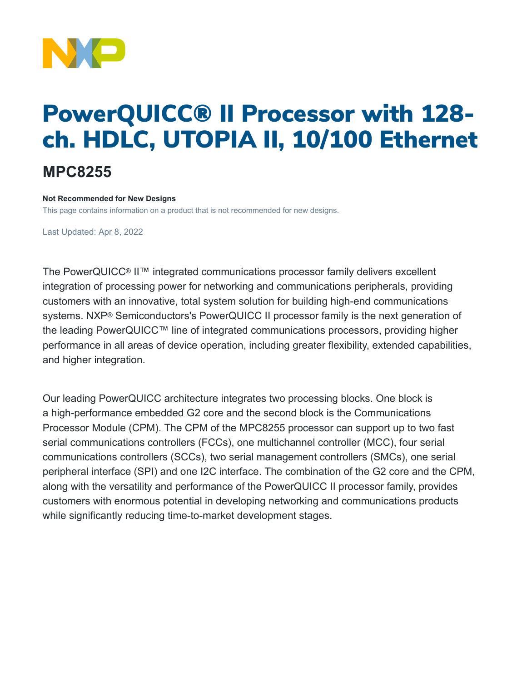

# PowerQUICC® II Processor with 128 ch. HDLC, UTOPIA II, 10/100 Ethernet

## **MPC8255**

#### **Not Recommended for New Designs**

This page contains information on a product that is not recommended for new designs.

Last Updated: Apr 8, 2022

The PowerQUICC® II™ integrated communications processor family delivers excellent integration of processing power for networking and communications peripherals, providing customers with an innovative, total system solution for building high-end communications systems. NXP® Semiconductors's PowerQUICC II processor family is the next generation of the leading PowerQUICC™ line of integrated communications processors, providing higher performance in all areas of device operation, including greater flexibility, extended capabilities, and higher integration.

Our leading PowerQUICC architecture integrates two processing blocks. One block is a high-performance embedded G2 core and the second block is the Communications Processor Module (CPM). The CPM of the MPC8255 processor can support up to two fast serial communications controllers (FCCs), one multichannel controller (MCC), four serial communications controllers (SCCs), two serial management controllers (SMCs), one serial peripheral interface (SPI) and one I2C interface. The combination of the G2 core and the CPM, along with the versatility and performance of the PowerQUICC II processor family, provides customers with enormous potential in developing networking and communications products while significantly reducing time-to-market development stages.